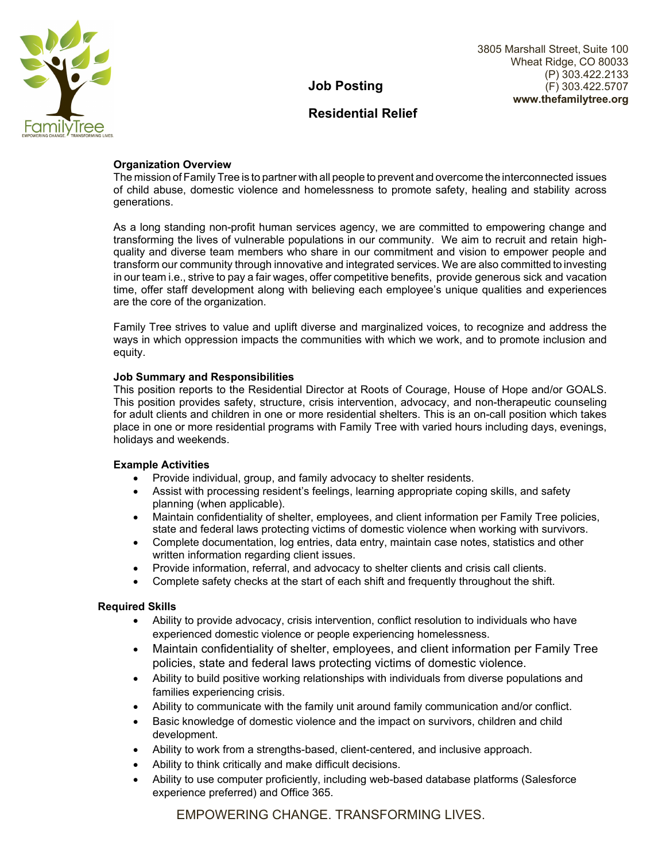

#### 3805 Marshall Street, Suite 100 Wheat Ridge, CO 80033 (P) 303.422.2133 (F) 303.422.5707 **www.thefamilytree.org**

## **Job Posting**

## **Residential Relief**

## **Organization Overview**

The mission of Family Tree is to partner with all people to prevent and overcome the interconnected issues of child abuse, domestic violence and homelessness to promote safety, healing and stability across generations.

As a long standing non-profit human services agency, we are committed to empowering change and transforming the lives of vulnerable populations in our community. We aim to recruit and retain highquality and diverse team members who share in our commitment and vision to empower people and transform our community through innovative and integrated services. We are also committed to investing in our team i.e., strive to pay a fair wages, offer competitive benefits, provide generous sick and vacation time, offer staff development along with believing each employee's unique qualities and experiences are the core of the organization.

Family Tree strives to value and uplift diverse and marginalized voices, to recognize and address the ways in which oppression impacts the communities with which we work, and to promote inclusion and equity.

### **Job Summary and Responsibilities**

This position reports to the Residential Director at Roots of Courage, House of Hope and/or GOALS. This position provides safety, structure, crisis intervention, advocacy, and non-therapeutic counseling for adult clients and children in one or more residential shelters. This is an on-call position which takes place in one or more residential programs with Family Tree with varied hours including days, evenings, holidays and weekends.

## **Example Activities**

- Provide individual, group, and family advocacy to shelter residents.
- Assist with processing resident's feelings, learning appropriate coping skills, and safety planning (when applicable).
- Maintain confidentiality of shelter, employees, and client information per Family Tree policies, state and federal laws protecting victims of domestic violence when working with survivors.
- Complete documentation, log entries, data entry, maintain case notes, statistics and other written information regarding client issues.
- Provide information, referral, and advocacy to shelter clients and crisis call clients.
- Complete safety checks at the start of each shift and frequently throughout the shift.

#### **Required Skills**

- Ability to provide advocacy, crisis intervention, conflict resolution to individuals who have experienced domestic violence or people experiencing homelessness.
- Maintain confidentiality of shelter, employees, and client information per Family Tree policies, state and federal laws protecting victims of domestic violence.
- Ability to build positive working relationships with individuals from diverse populations and families experiencing crisis.
- Ability to communicate with the family unit around family communication and/or conflict.
- Basic knowledge of domestic violence and the impact on survivors, children and child development.
- Ability to work from a strengths-based, client-centered, and inclusive approach.
- Ability to think critically and make difficult decisions.
- Ability to use computer proficiently, including web-based database platforms (Salesforce experience preferred) and Office 365.

EMPOWERING CHANGE. TRANSFORMING LIVES.